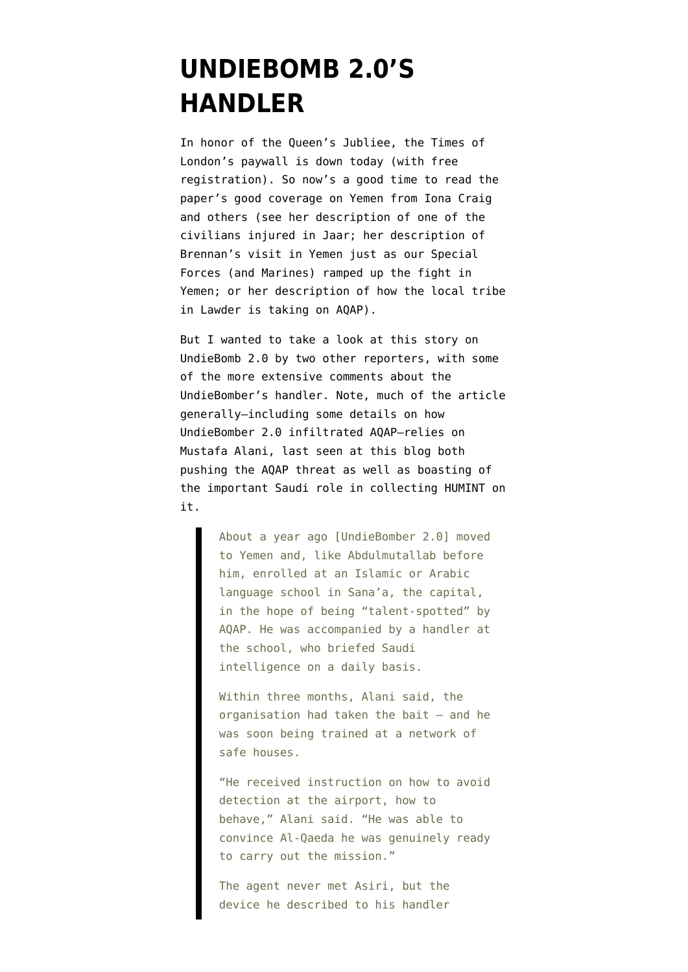## **[UNDIEBOMB 2.0'S](https://www.emptywheel.net/2012/06/03/undiebomb-2-0s-handler/) [HANDLER](https://www.emptywheel.net/2012/06/03/undiebomb-2-0s-handler/)**

In honor of the Queen's Jubliee, the Times of London's paywall is down today (with free registration). So now's a good time to read the paper's good coverage on Yemen from Iona Craig and others (see [her description](http://www.thetimes.co.uk/tto/news/world/middleeast/article3424245.ece) of one of the civilians injured in Jaar; [her description](http://www.thetimes.co.uk/tto/news/world/middleeast/article3413275.ecel) of Brennan's visit in Yemen just as our Special Forces (and Marines) ramped up the fight in Yemen; or [her description](http://www.thetimes.co.uk/tto/news/world/middleeast/article3423019.ece) of how the local tribe in Lawder is taking on AQAP).

But I wanted to take a look at [this story](http://www.thesundaytimes.co.uk/sto/news/focus/article1037534.ece) on UndieBomb 2.0 by two other reporters, with some of the more extensive comments about the UndieBomber's handler. Note, much of the article generally–including some details on how UndieBomber 2.0 infiltrated AQAP–relies on Mustafa Alani, last seen at this blog both [pushing the AQAP threat](http://www.emptywheel.net/2012/05/10/cluster-bombs-on-the-head-of-a-saudi-pinpoint/) as well as boasting of the important Saudi role in collecting HUMINT on it.

> About a year ago [UndieBomber 2.0] moved to Yemen and, like Abdulmutallab before him, enrolled at an Islamic or Arabic language school in Sana'a, the capital, in the hope of being "talent-spotted" by AQAP. He was accompanied by a handler at the school, who briefed Saudi intelligence on a daily basis.

> Within three months, Alani said, the organisation had taken the bait — and he was soon being trained at a network of safe houses.

> "He received instruction on how to avoid detection at the airport, how to behave," Alani said. "He was able to convince Al-Qaeda he was genuinely ready to carry out the mission."

The agent never met Asiri, but the device he described to his handler